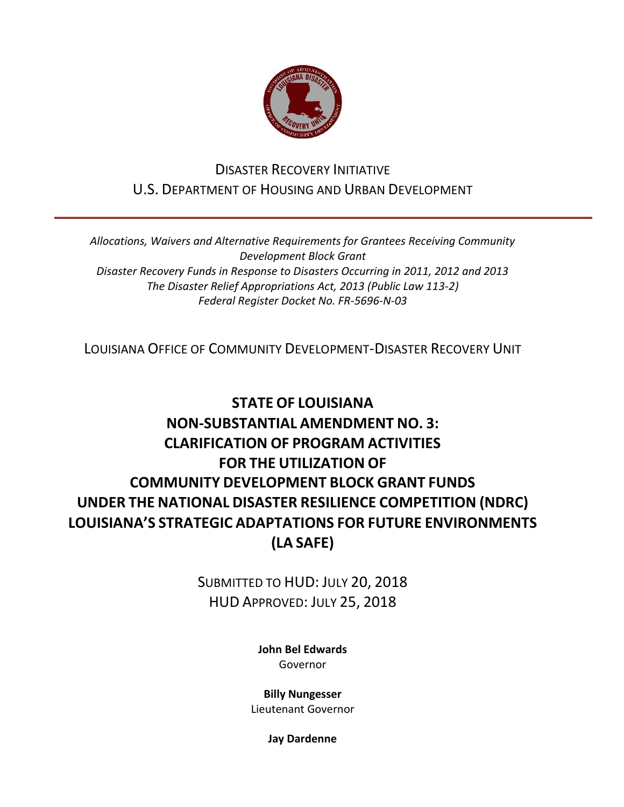

# DISASTER RECOVERY INITIATIVE U.S. DEPARTMENT OF HOUSING AND URBAN DEVELOPMENT

*Allocations, Waivers and Alternative Requirements for Grantees Receiving Community Development Block Grant Disaster Recovery Funds in Response to Disasters Occurring in 2011, 2012 and 2013 The Disaster Relief Appropriations Act, 2013 (Public Law 113-2) Federal Register Docket No. FR-5696-N-03*

LOUISIANA OFFICE OF COMMUNITY DEVELOPMENT-DISASTER RECOVERY UNIT

# **STATE OF LOUISIANA NON-SUBSTANTIAL AMENDMENT NO. 3: CLARIFICATION OF PROGRAM ACTIVITIES FOR THE UTILIZATION OF COMMUNITY DEVELOPMENT BLOCK GRANT FUNDS UNDER THE NATIONAL DISASTER RESILIENCE COMPETITION (NDRC) LOUISIANA'S STRATEGIC ADAPTATIONS FOR FUTURE ENVIRONMENTS (LA SAFE)**

SUBMITTED TO HUD: JULY 20, 2018 HUD APPROVED: JULY 25, 2018

> **[John Bel Edwards](https://www.facebook.com/LouisianaGov/)** Governor

**Billy Nungesser**

Lieutenant Governor

**Jay Dardenne**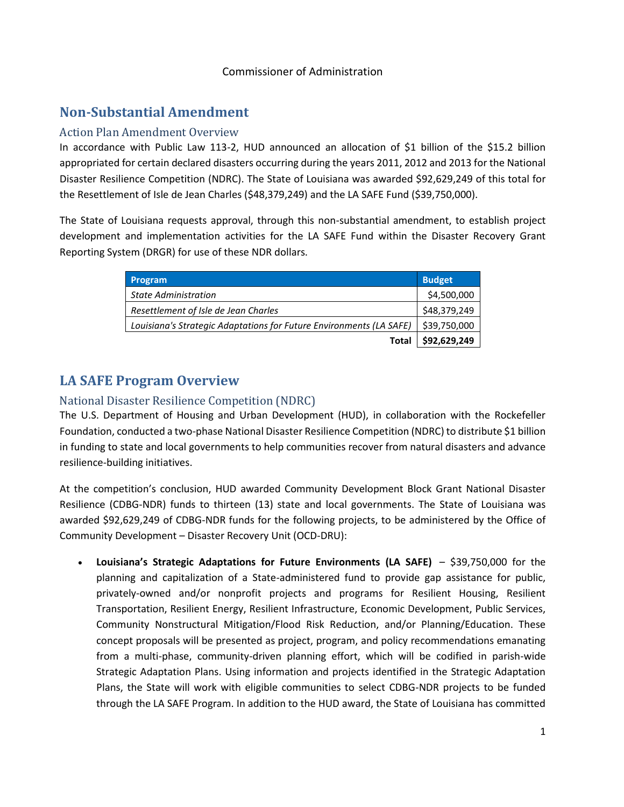#### Commissioner of Administration

## **Non-Substantial Amendment**

#### Action Plan Amendment Overview

In accordance with Public Law 113-2, HUD announced an allocation of \$1 billion of the \$15.2 billion appropriated for certain declared disasters occurring during the years 2011, 2012 and 2013 for the National Disaster Resilience Competition (NDRC). The State of Louisiana was awarded \$92,629,249 of this total for the Resettlement of Isle de Jean Charles (\$48,379,249) and the LA SAFE Fund (\$39,750,000).

The State of Louisiana requests approval, through this non-substantial amendment, to establish project development and implementation activities for the LA SAFE Fund within the Disaster Recovery Grant Reporting System (DRGR) for use of these NDR dollars.

| <b>Program</b>                                                      | <b>Budget</b> |
|---------------------------------------------------------------------|---------------|
| <b>State Administration</b>                                         | \$4,500,000   |
| Resettlement of Isle de Jean Charles                                | \$48,379,249  |
| Louisiana's Strategic Adaptations for Future Environments (LA SAFE) | \$39,750,000  |
| Total                                                               | \$92,629,249  |

# **LA SAFE Program Overview**

### National Disaster Resilience Competition (NDRC)

The U.S. Department of Housing and Urban Development (HUD), in collaboration with the Rockefeller Foundation, conducted a two-phase National Disaster Resilience Competition (NDRC) to distribute \$1 billion in funding to state and local governments to help communities recover from natural disasters and advance resilience-building initiatives.

At the competition's conclusion, HUD awarded Community Development Block Grant National Disaster Resilience (CDBG-NDR) funds to thirteen (13) state and local governments. The State of Louisiana was awarded \$92,629,249 of CDBG-NDR funds for the following projects, to be administered by the Office of Community Development – Disaster Recovery Unit (OCD-DRU):

 **Louisiana's Strategic Adaptations for Future Environments (LA SAFE)** – \$39,750,000 for the planning and capitalization of a State-administered fund to provide gap assistance for public, privately-owned and/or nonprofit projects and programs for Resilient Housing, Resilient Transportation, Resilient Energy, Resilient Infrastructure, Economic Development, Public Services, Community Nonstructural Mitigation/Flood Risk Reduction, and/or Planning/Education. These concept proposals will be presented as project, program, and policy recommendations emanating from a multi-phase, community-driven planning effort, which will be codified in parish-wide Strategic Adaptation Plans. Using information and projects identified in the Strategic Adaptation Plans, the State will work with eligible communities to select CDBG-NDR projects to be funded through the LA SAFE Program. In addition to the HUD award, the State of Louisiana has committed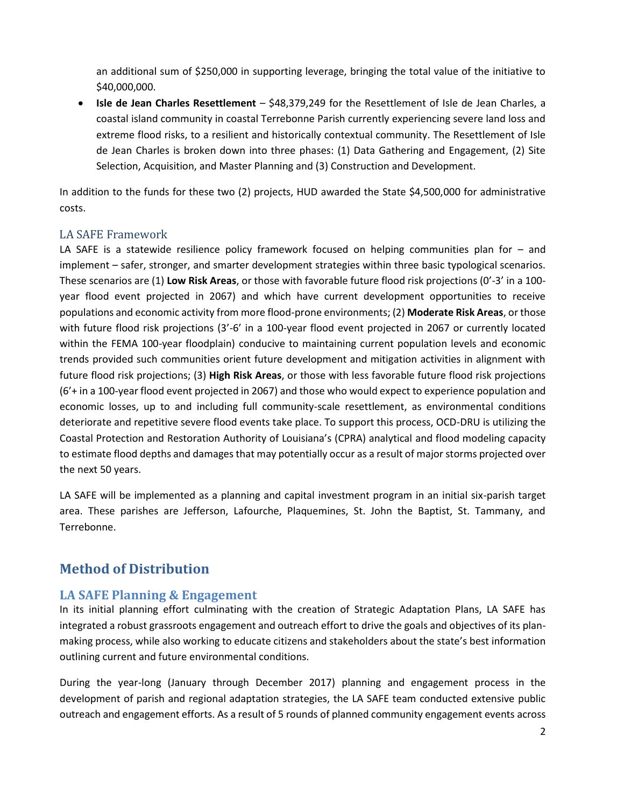an additional sum of \$250,000 in supporting leverage, bringing the total value of the initiative to \$40,000,000.

 **Isle de Jean Charles Resettlement** – \$48,379,249 for the Resettlement of Isle de Jean Charles, a coastal island community in coastal Terrebonne Parish currently experiencing severe land loss and extreme flood risks, to a resilient and historically contextual community. The Resettlement of Isle de Jean Charles is broken down into three phases: (1) Data Gathering and Engagement, (2) Site Selection, Acquisition, and Master Planning and (3) Construction and Development.

In addition to the funds for these two (2) projects, HUD awarded the State \$4,500,000 for administrative costs.

### LA SAFE Framework

LA SAFE is a statewide resilience policy framework focused on helping communities plan for – and implement – safer, stronger, and smarter development strategies within three basic typological scenarios. These scenarios are (1) **Low Risk Areas**, or those with favorable future flood risk projections (0'-3' in a 100 year flood event projected in 2067) and which have current development opportunities to receive populations and economic activity from more flood-prone environments; (2) **Moderate Risk Areas**, or those with future flood risk projections (3'-6' in a 100-year flood event projected in 2067 or currently located within the FEMA 100-year floodplain) conducive to maintaining current population levels and economic trends provided such communities orient future development and mitigation activities in alignment with future flood risk projections; (3) **High Risk Areas**, or those with less favorable future flood risk projections (6'+ in a 100-year flood event projected in 2067) and those who would expect to experience population and economic losses, up to and including full community-scale resettlement, as environmental conditions deteriorate and repetitive severe flood events take place. To support this process, OCD-DRU is utilizing the Coastal Protection and Restoration Authority of Louisiana's (CPRA) analytical and flood modeling capacity to estimate flood depths and damages that may potentially occur as a result of major storms projected over the next 50 years.

LA SAFE will be implemented as a planning and capital investment program in an initial six-parish target area. These parishes are Jefferson, Lafourche, Plaquemines, St. John the Baptist, St. Tammany, and Terrebonne.

## **Method of Distribution**

### **LA SAFE Planning & Engagement**

In its initial planning effort culminating with the creation of Strategic Adaptation Plans, LA SAFE has integrated a robust grassroots engagement and outreach effort to drive the goals and objectives of its planmaking process, while also working to educate citizens and stakeholders about the state's best information outlining current and future environmental conditions.

During the year-long (January through December 2017) planning and engagement process in the development of parish and regional adaptation strategies, the LA SAFE team conducted extensive public outreach and engagement efforts. As a result of 5 rounds of planned community engagement events across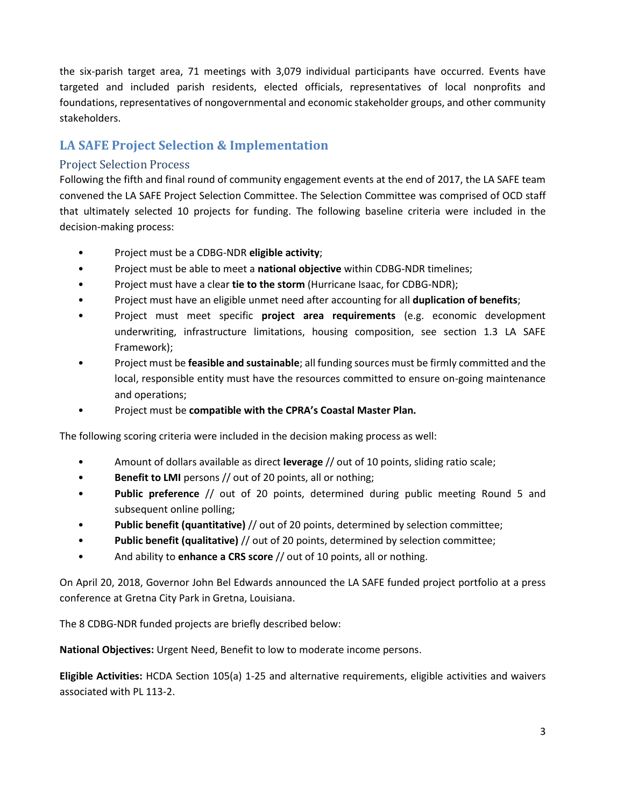the six-parish target area, 71 meetings with 3,079 individual participants have occurred. Events have targeted and included parish residents, elected officials, representatives of local nonprofits and foundations, representatives of nongovernmental and economic stakeholder groups, and other community stakeholders.

## **LA SAFE Project Selection & Implementation**

### Project Selection Process

Following the fifth and final round of community engagement events at the end of 2017, the LA SAFE team convened the LA SAFE Project Selection Committee. The Selection Committee was comprised of OCD staff that ultimately selected 10 projects for funding. The following baseline criteria were included in the decision-making process:

- Project must be a CDBG-NDR **eligible activity**;
- Project must be able to meet a **national objective** within CDBG-NDR timelines;
- Project must have a clear **tie to the storm** (Hurricane Isaac, for CDBG-NDR);
- Project must have an eligible unmet need after accounting for all **duplication of benefits**;
- Project must meet specific **project area requirements** (e.g. economic development underwriting, infrastructure limitations, housing composition, see section 1.3 LA SAFE Framework);
- Project must be **feasible and sustainable**; all funding sources must be firmly committed and the local, responsible entity must have the resources committed to ensure on-going maintenance and operations;
- Project must be **compatible with the CPRA's Coastal Master Plan.**

The following scoring criteria were included in the decision making process as well:

- Amount of dollars available as direct **leverage** // out of 10 points, sliding ratio scale;
- **Benefit to LMI** persons // out of 20 points, all or nothing;
- **Public preference** // out of 20 points, determined during public meeting Round 5 and subsequent online polling;
- **Public benefit (quantitative)** // out of 20 points, determined by selection committee;
- **Public benefit (qualitative)** // out of 20 points, determined by selection committee;
- And ability to **enhance a CRS score** // out of 10 points, all or nothing.

On April 20, 2018, Governor John Bel Edwards announced the LA SAFE funded project portfolio at a press conference at Gretna City Park in Gretna, Louisiana.

The 8 CDBG-NDR funded projects are briefly described below:

**National Objectives:** Urgent Need, Benefit to low to moderate income persons.

**Eligible Activities:** HCDA Section 105(a) 1-25 and alternative requirements, eligible activities and waivers associated with PL 113-2.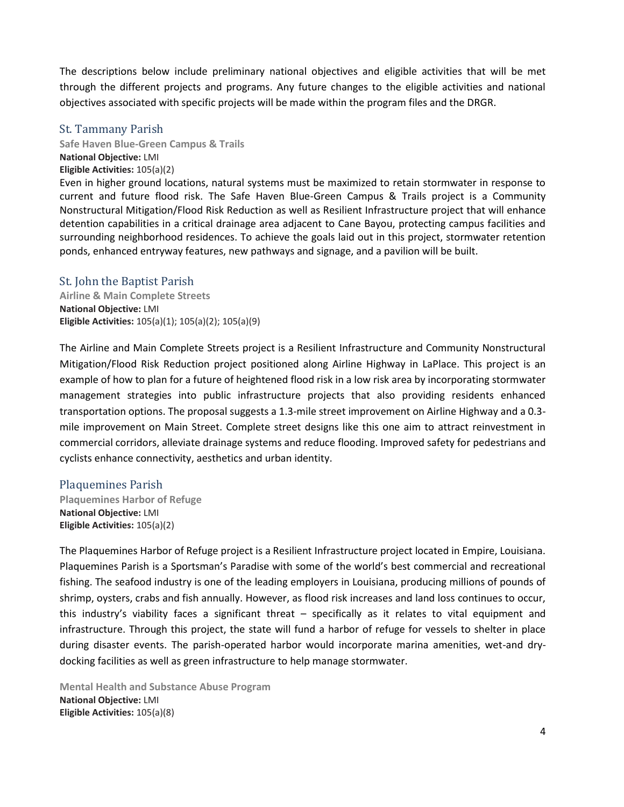The descriptions below include preliminary national objectives and eligible activities that will be met through the different projects and programs. Any future changes to the eligible activities and national objectives associated with specific projects will be made within the program files and the DRGR.

### St. Tammany Parish

**Safe Haven Blue-Green Campus & Trails National Objective:** LMI **Eligible Activities:** 105(a)(2)

Even in higher ground locations, natural systems must be maximized to retain stormwater in response to current and future flood risk. The Safe Haven Blue-Green Campus & Trails project is a Community Nonstructural Mitigation/Flood Risk Reduction as well as Resilient Infrastructure project that will enhance detention capabilities in a critical drainage area adjacent to Cane Bayou, protecting campus facilities and surrounding neighborhood residences. To achieve the goals laid out in this project, stormwater retention ponds, enhanced entryway features, new pathways and signage, and a pavilion will be built.

### St. John the Baptist Parish

**Airline & Main Complete Streets National Objective:** LMI **Eligible Activities:** 105(a)(1); 105(a)(2); 105(a)(9)

The Airline and Main Complete Streets project is a Resilient Infrastructure and Community Nonstructural Mitigation/Flood Risk Reduction project positioned along Airline Highway in LaPlace. This project is an example of how to plan for a future of heightened flood risk in a low risk area by incorporating stormwater management strategies into public infrastructure projects that also providing residents enhanced transportation options. The proposal suggests a 1.3-mile street improvement on Airline Highway and a 0.3 mile improvement on Main Street. Complete street designs like this one aim to attract reinvestment in commercial corridors, alleviate drainage systems and reduce flooding. Improved safety for pedestrians and cyclists enhance connectivity, aesthetics and urban identity.

#### Plaquemines Parish

**Plaquemines Harbor of Refuge National Objective:** LMI **Eligible Activities:** 105(a)(2)

The Plaquemines Harbor of Refuge project is a Resilient Infrastructure project located in Empire, Louisiana. Plaquemines Parish is a Sportsman's Paradise with some of the world's best commercial and recreational fishing. The seafood industry is one of the leading employers in Louisiana, producing millions of pounds of shrimp, oysters, crabs and fish annually. However, as flood risk increases and land loss continues to occur, this industry's viability faces a significant threat – specifically as it relates to vital equipment and infrastructure. Through this project, the state will fund a harbor of refuge for vessels to shelter in place during disaster events. The parish-operated harbor would incorporate marina amenities, wet-and drydocking facilities as well as green infrastructure to help manage stormwater.

**Mental Health and Substance Abuse Program National Objective:** LMI **Eligible Activities:** 105(a)(8)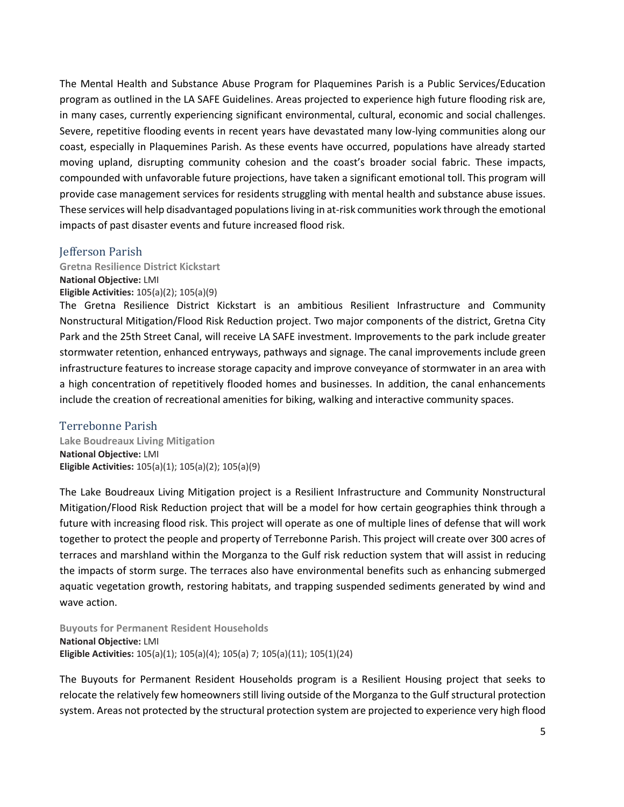The Mental Health and Substance Abuse Program for Plaquemines Parish is a Public Services/Education program as outlined in the LA SAFE Guidelines. Areas projected to experience high future flooding risk are, in many cases, currently experiencing significant environmental, cultural, economic and social challenges. Severe, repetitive flooding events in recent years have devastated many low-lying communities along our coast, especially in Plaquemines Parish. As these events have occurred, populations have already started moving upland, disrupting community cohesion and the coast's broader social fabric. These impacts, compounded with unfavorable future projections, have taken a significant emotional toll. This program will provide case management services for residents struggling with mental health and substance abuse issues. These services will help disadvantaged populations living in at-risk communities work through the emotional impacts of past disaster events and future increased flood risk.

#### Jefferson Parish

**Gretna Resilience District Kickstart National Objective:** LMI **Eligible Activities:** 105(a)(2); 105(a)(9)

The Gretna Resilience District Kickstart is an ambitious Resilient Infrastructure and Community Nonstructural Mitigation/Flood Risk Reduction project. Two major components of the district, Gretna City Park and the 25th Street Canal, will receive LA SAFE investment. Improvements to the park include greater stormwater retention, enhanced entryways, pathways and signage. The canal improvements include green infrastructure features to increase storage capacity and improve conveyance of stormwater in an area with a high concentration of repetitively flooded homes and businesses. In addition, the canal enhancements include the creation of recreational amenities for biking, walking and interactive community spaces.

#### Terrebonne Parish

**Lake Boudreaux Living Mitigation National Objective:** LMI **Eligible Activities:** 105(a)(1); 105(a)(2); 105(a)(9)

The Lake Boudreaux Living Mitigation project is a Resilient Infrastructure and Community Nonstructural Mitigation/Flood Risk Reduction project that will be a model for how certain geographies think through a future with increasing flood risk. This project will operate as one of multiple lines of defense that will work together to protect the people and property of Terrebonne Parish. This project will create over 300 acres of terraces and marshland within the Morganza to the Gulf risk reduction system that will assist in reducing the impacts of storm surge. The terraces also have environmental benefits such as enhancing submerged aquatic vegetation growth, restoring habitats, and trapping suspended sediments generated by wind and wave action.

**Buyouts for Permanent Resident Households National Objective:** LMI **Eligible Activities:** 105(a)(1); 105(a)(4); 105(a) 7; 105(a)(11); 105(1)(24)

The Buyouts for Permanent Resident Households program is a Resilient Housing project that seeks to relocate the relatively few homeowners still living outside of the Morganza to the Gulf structural protection system. Areas not protected by the structural protection system are projected to experience very high flood